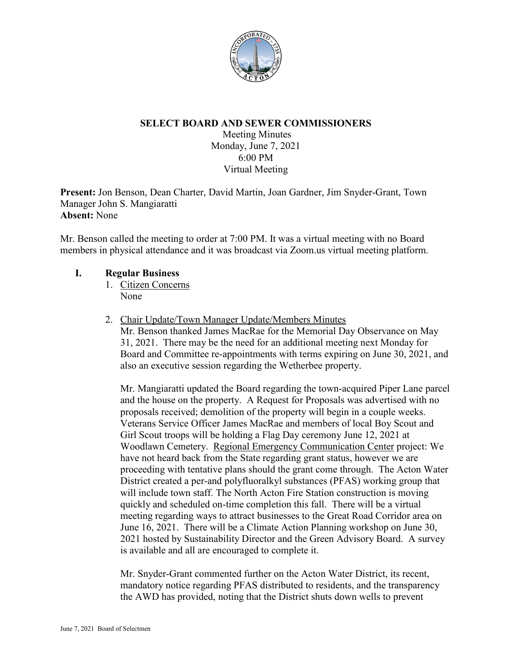

# **SELECT BOARD AND SEWER COMMISSIONERS**

Meeting Minutes Monday, June 7, 2021 6:00 PM Virtual Meeting

**Present:** Jon Benson, Dean Charter, David Martin, Joan Gardner, Jim Snyder-Grant, Town Manager John S. Mangiaratti **Absent:** None

Mr. Benson called the meeting to order at 7:00 PM. It was a virtual meeting with no Board members in physical attendance and it was broadcast via Zoom.us virtual meeting platform.

# **I. Regular Business**

- 1. Citizen Concerns None
- 2. Chair Update/Town Manager Update/Members Minutes

Mr. Benson thanked James MacRae for the Memorial Day Observance on May 31, 2021. There may be the need for an additional meeting next Monday for Board and Committee re-appointments with terms expiring on June 30, 2021, and also an executive session regarding the Wetherbee property.

Mr. Mangiaratti updated the Board regarding the town-acquired Piper Lane parcel and the house on the property. A Request for Proposals was advertised with no proposals received; demolition of the property will begin in a couple weeks. Veterans Service Officer James MacRae and members of local Boy Scout and Girl Scout troops will be holding a Flag Day ceremony June 12, 2021 at Woodlawn Cemetery. Regional Emergency Communication Center project: We have not heard back from the State regarding grant status, however we are proceeding with tentative plans should the grant come through. The Acton Water District created a per-and polyfluoralkyl substances (PFAS) working group that will include town staff. The North Acton Fire Station construction is moving quickly and scheduled on-time completion this fall. There will be a virtual meeting regarding ways to attract businesses to the Great Road Corridor area on June 16, 2021. There will be a Climate Action Planning workshop on June 30, 2021 hosted by Sustainability Director and the Green Advisory Board. A survey is available and all are encouraged to complete it.

Mr. Snyder-Grant commented further on the Acton Water District, its recent, mandatory notice regarding PFAS distributed to residents, and the transparency the AWD has provided, noting that the District shuts down wells to prevent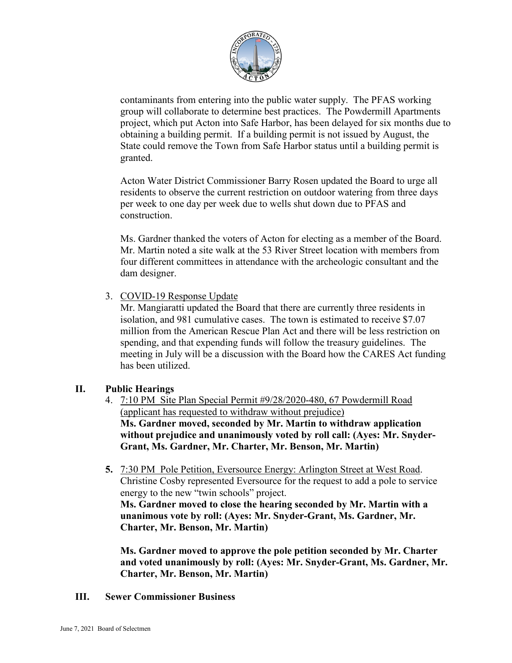

contaminants from entering into the public water supply. The PFAS working group will collaborate to determine best practices. The Powdermill Apartments project, which put Acton into Safe Harbor, has been delayed for six months due to obtaining a building permit. If a building permit is not issued by August, the State could remove the Town from Safe Harbor status until a building permit is granted.

Acton Water District Commissioner Barry Rosen updated the Board to urge all residents to observe the current restriction on outdoor watering from three days per week to one day per week due to wells shut down due to PFAS and construction.

Ms. Gardner thanked the voters of Acton for electing as a member of the Board. Mr. Martin noted a site walk at the 53 River Street location with members from four different committees in attendance with the archeologic consultant and the dam designer.

3. COVID-19 Response Update

Mr. Mangiaratti updated the Board that there are currently three residents in isolation, and 981 cumulative cases. The town is estimated to receive \$7.07 million from the American Rescue Plan Act and there will be less restriction on spending, and that expending funds will follow the treasury guidelines. The meeting in July will be a discussion with the Board how the CARES Act funding has been utilized.

# **II. Public Hearings**

- 4. 7:10 PM Site Plan Special Permit #9/28/2020-480, 67 Powdermill Road (applicant has requested to withdraw without prejudice) **Ms. Gardner moved, seconded by Mr. Martin to withdraw application without prejudice and unanimously voted by roll call: (Ayes: Mr. Snyder-Grant, Ms. Gardner, Mr. Charter, Mr. Benson, Mr. Martin)**
- **5.** 7:30 PM Pole Petition, Eversource Energy: Arlington Street at West Road. Christine Cosby represented Eversource for the request to add a pole to service energy to the new "twin schools" project.

**Ms. Gardner moved to close the hearing seconded by Mr. Martin with a unanimous vote by roll: (Ayes: Mr. Snyder-Grant, Ms. Gardner, Mr. Charter, Mr. Benson, Mr. Martin)**

**Ms. Gardner moved to approve the pole petition seconded by Mr. Charter and voted unanimously by roll: (Ayes: Mr. Snyder-Grant, Ms. Gardner, Mr. Charter, Mr. Benson, Mr. Martin)**

**III. Sewer Commissioner Business**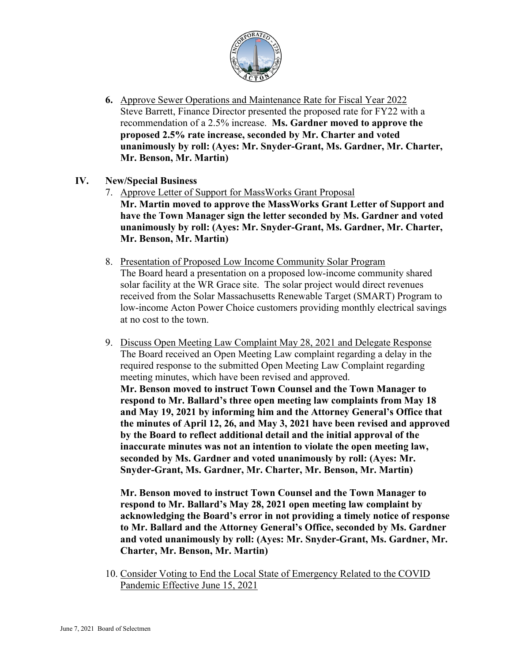

**6.** Approve Sewer Operations and Maintenance Rate for Fiscal Year 2022 Steve Barrett, Finance Director presented the proposed rate for FY22 with a recommendation of a 2.5% increase. **Ms. Gardner moved to approve the proposed 2.5% rate increase, seconded by Mr. Charter and voted unanimously by roll: (Ayes: Mr. Snyder-Grant, Ms. Gardner, Mr. Charter, Mr. Benson, Mr. Martin)**

## **IV. New/Special Business**

- 7. Approve Letter of Support for MassWorks Grant Proposal **Mr. Martin moved to approve the MassWorks Grant Letter of Support and have the Town Manager sign the letter seconded by Ms. Gardner and voted unanimously by roll: (Ayes: Mr. Snyder-Grant, Ms. Gardner, Mr. Charter, Mr. Benson, Mr. Martin)**
- 8. Presentation of Proposed Low Income Community Solar Program The Board heard a presentation on a proposed low-income community shared solar facility at the WR Grace site. The solar project would direct revenues received from the Solar Massachusetts Renewable Target (SMART) Program to low-income Acton Power Choice customers providing monthly electrical savings at no cost to the town.
- 9. Discuss Open Meeting Law Complaint May 28, 2021 and Delegate Response The Board received an Open Meeting Law complaint regarding a delay in the required response to the submitted Open Meeting Law Complaint regarding meeting minutes, which have been revised and approved. **Mr. Benson moved to instruct Town Counsel and the Town Manager to respond to Mr. Ballard's three open meeting law complaints from May 18 and May 19, 2021 by informing him and the Attorney General's Office that the minutes of April 12, 26, and May 3, 2021 have been revised and approved by the Board to reflect additional detail and the initial approval of the inaccurate minutes was not an intention to violate the open meeting law, seconded by Ms. Gardner and voted unanimously by roll: (Ayes: Mr. Snyder-Grant, Ms. Gardner, Mr. Charter, Mr. Benson, Mr. Martin)**

**Mr. Benson moved to instruct Town Counsel and the Town Manager to respond to Mr. Ballard's May 28, 2021 open meeting law complaint by acknowledging the Board's error in not providing a timely notice of response to Mr. Ballard and the Attorney General's Office, seconded by Ms. Gardner and voted unanimously by roll: (Ayes: Mr. Snyder-Grant, Ms. Gardner, Mr. Charter, Mr. Benson, Mr. Martin)**

10. Consider Voting to End the Local State of Emergency Related to the COVID Pandemic Effective June 15, 2021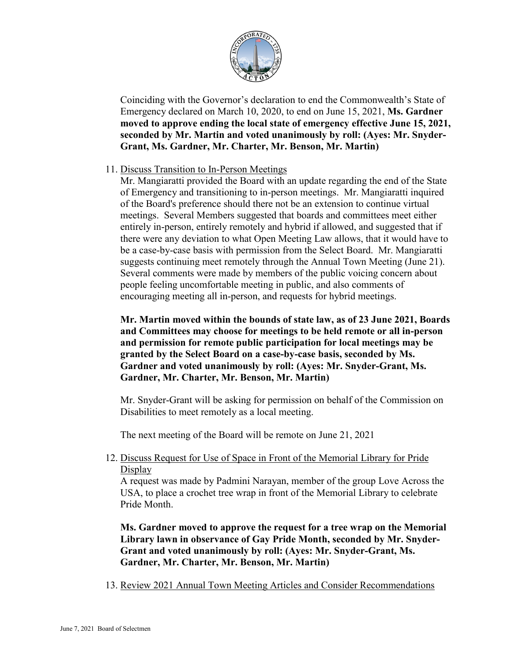

Coinciding with the Governor's declaration to end the Commonwealth's State of Emergency declared on March 10, 2020, to end on June 15, 2021, **Ms. Gardner moved to approve ending the local state of emergency effective June 15, 2021, seconded by Mr. Martin and voted unanimously by roll: (Ayes: Mr. Snyder-Grant, Ms. Gardner, Mr. Charter, Mr. Benson, Mr. Martin)**

## 11. Discuss Transition to In-Person Meetings

Mr. Mangiaratti provided the Board with an update regarding the end of the State of Emergency and transitioning to in-person meetings. Mr. Mangiaratti inquired of the Board's preference should there not be an extension to continue virtual meetings. Several Members suggested that boards and committees meet either entirely in-person, entirely remotely and hybrid if allowed, and suggested that if there were any deviation to what Open Meeting Law allows, that it would have to be a case-by-case basis with permission from the Select Board. Mr. Mangiaratti suggests continuing meet remotely through the Annual Town Meeting (June 21). Several comments were made by members of the public voicing concern about people feeling uncomfortable meeting in public, and also comments of encouraging meeting all in-person, and requests for hybrid meetings.

**Mr. Martin moved within the bounds of state law, as of 23 June 2021, Boards and Committees may choose for meetings to be held remote or all in-person and permission for remote public participation for local meetings may be granted by the Select Board on a case-by-case basis, seconded by Ms. Gardner and voted unanimously by roll: (Ayes: Mr. Snyder-Grant, Ms. Gardner, Mr. Charter, Mr. Benson, Mr. Martin)**

Mr. Snyder-Grant will be asking for permission on behalf of the Commission on Disabilities to meet remotely as a local meeting.

The next meeting of the Board will be remote on June 21, 2021

12. Discuss Request for Use of Space in Front of the Memorial Library for Pride Display

A request was made by Padmini Narayan, member of the group Love Across the USA, to place a crochet tree wrap in front of the Memorial Library to celebrate Pride Month.

**Ms. Gardner moved to approve the request for a tree wrap on the Memorial Library lawn in observance of Gay Pride Month, seconded by Mr. Snyder-Grant and voted unanimously by roll: (Ayes: Mr. Snyder-Grant, Ms. Gardner, Mr. Charter, Mr. Benson, Mr. Martin)**

13. Review 2021 Annual Town Meeting Articles and Consider Recommendations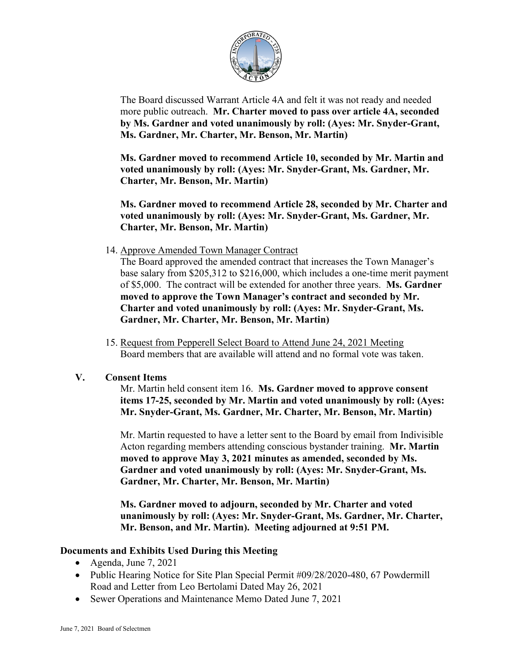

The Board discussed Warrant Article 4A and felt it was not ready and needed more public outreach. **Mr. Charter moved to pass over article 4A, seconded by Ms. Gardner and voted unanimously by roll: (Ayes: Mr. Snyder-Grant, Ms. Gardner, Mr. Charter, Mr. Benson, Mr. Martin)**

**Ms. Gardner moved to recommend Article 10, seconded by Mr. Martin and voted unanimously by roll: (Ayes: Mr. Snyder-Grant, Ms. Gardner, Mr. Charter, Mr. Benson, Mr. Martin)**

**Ms. Gardner moved to recommend Article 28, seconded by Mr. Charter and voted unanimously by roll: (Ayes: Mr. Snyder-Grant, Ms. Gardner, Mr. Charter, Mr. Benson, Mr. Martin)**

14. Approve Amended Town Manager Contract

The Board approved the amended contract that increases the Town Manager's base salary from \$205,312 to \$216,000, which includes a one-time merit payment of \$5,000. The contract will be extended for another three years. **Ms. Gardner moved to approve the Town Manager's contract and seconded by Mr. Charter and voted unanimously by roll: (Ayes: Mr. Snyder-Grant, Ms. Gardner, Mr. Charter, Mr. Benson, Mr. Martin)**

15. Request from Pepperell Select Board to Attend June 24, 2021 Meeting Board members that are available will attend and no formal vote was taken.

# **V. Consent Items**

Mr. Martin held consent item 16. **Ms. Gardner moved to approve consent items 17-25, seconded by Mr. Martin and voted unanimously by roll: (Ayes: Mr. Snyder-Grant, Ms. Gardner, Mr. Charter, Mr. Benson, Mr. Martin)**

Mr. Martin requested to have a letter sent to the Board by email from Indivisible Acton regarding members attending conscious bystander training. **Mr. Martin moved to approve May 3, 2021 minutes as amended, seconded by Ms. Gardner and voted unanimously by roll: (Ayes: Mr. Snyder-Grant, Ms. Gardner, Mr. Charter, Mr. Benson, Mr. Martin)**

**Ms. Gardner moved to adjourn, seconded by Mr. Charter and voted unanimously by roll: (Ayes: Mr. Snyder-Grant, Ms. Gardner, Mr. Charter, Mr. Benson, and Mr. Martin). Meeting adjourned at 9:51 PM.**

# **Documents and Exhibits Used During this Meeting**

- Agenda, June 7, 2021
- Public Hearing Notice for Site Plan Special Permit #09/28/2020-480, 67 Powdermill Road and Letter from Leo Bertolami Dated May 26, 2021
- Sewer Operations and Maintenance Memo Dated June 7, 2021